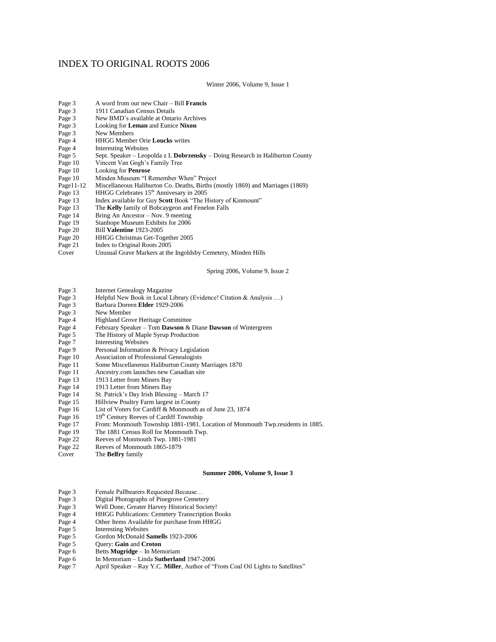## INDEX TO ORIGINAL ROOTS 2006

Winter 2006, Volume 9, Issue 1

| Page 3       | A word from our new Chair – Bill <b>Francis</b> |
|--------------|-------------------------------------------------|
| $D_{0.22}$ 2 | 1011 Consolian Congree Details                  |

- Page 3 1911 Canadian Census Details<br>Page 3 New BMD's available at Ontar New BMD's available at Ontario Archives
- Page 3 Looking for **Leman** and Eunice **Nixon**
- New Members
- Page 4 HHGG Member Orie **Loucks** writes
- **Interesting Websites**
- Page 5 Sept. Speaker Leopolda z L **Dobrzensky** Doing Research in Haliburton County
- Page 10 Vincent Van Gogh's Family Tree<br>Page 10 Looking for **Penrose**
- Page 10 Looking for **Penrose**
- Page 10 Minden Museum "I Remember When" Project
- Miscellaneous Haliburton Co. Deaths, Births (mostly 1869) and Marriages (1869)
- Page 13 HHGG Celebrates 15<sup>th</sup> Annivesary in 2005<br>Page 13 Index available for Guy **Scott** Book "The H
- Page 13 Index available for Guy **Scott** Book "The History of Kinmount"<br>Page 13 The **Kelly** family of Bobcaygeon and Fenelon Falls
- Page 13 The **Kelly** family of Bobcaygeon and Fenelon Falls
- Page 14 Bring An Ancestor Nov. 9 meeting<br>Page 19 Stanhope Museum Exhibits for 2006
- Page 19 Stanhope Museum Exhibits for 2006<br>Page 20 Bill **Valentine** 1923-2005
- 
- Page 20 Bill **Valentine** 1923-2005<br>Page 20 HHGG Christmas Get-Tog Page 20 HHGG Christmas Get-Together 2005<br>Page 21 Index to Original Roots 2005
- Index to Original Roots 2005
- Cover Unusual Grave Markers at the Ingoldsby Cemetery, Minden Hills

Spring 2006, Volume 9, Issue 2

- Page 3 Internet Genealogy Magazine
- Page 3 Helpful New Book in Local Library (Evidence! Citation & Analysis ...)<br>Page 3 Barbara Doreen Elder 1929-2006
- Page 3 Barbara Doreen **Elder** 1929-2006<br>Page 3 New Member
- Page 3 New Member<br>Page 4 Highland Gro
- Highland Grove Heritage Committee
- Page 4 February Speaker Tom **Dawson** & Diane **Dawson** of Wintergreen
- Page 5 The History of Maple Syrup Production<br>Page 7 Interesting Websites
- Page 7 Interesting Websites<br>Page 9 Personal Information
- Page 9 Personal Information & Privacy Legislation<br>Page 10 Association of Professional Genealogists
- 
- Page 10 Association of Professional Genealogists Some Miscellaneous Haliburton County Marriages 1870
- Page 11 Ancestry.com launches new Canadian site
- Page 13 1913 Letter from Miners Bay<br>Page 14 1913 Letter from Miners Bay
- 
- Page 14 1913 Letter from Miners Bay<br>Page 14 St. Patrick's Day Irish Blessin St. Patrick's Day Irish Blessing - March 17
- 
- Page 15 Hillview Poultry Farm largest in County<br>Page 16 List of Voters for Cardiff & Monmouth List of Voters for Cardiff & Monmouth as of June 23, 1874
- 
- Page 16 19<sup>th</sup> Century Reeves of Cardiff Township<br>Page 17 From: Monmouth Township 1881-1981. From: Monmouth Township 1881-1981. Location of Monmouth Twp.residents in 1885.
- Page 19 The 1881 Census Roll for Monmouth Twp.
- Page 22 Reeves of Monmouth Twp. 1881-1981
- Page 22 Reeves of Monmouth 1865-1879
- Cover The **Belfry** family

## **Summer 2006, Volume 9, Issue 3**

- 
- Page 3 Female Pallbearers Requested Because...<br>Page 3 Digital Photographs of Pinegrove Cemete Page 3 Digital Photographs of Pinegrove Cemetery<br>Page 3 Well Done, Greater Harvey Historical Socie
- Page 3 Well Done, Greater Harvey Historical Society!<br>Page 4 HHGG Publications: Cemetery Transcription B
- HHGG Publications: Cemetery Transcription Books
- Page 4 Other Items Available for purchase from HHGG
- Page 5 Interesting Websites
- Page 5 Gordon McDonald **Samells** 1923-2006<br>Page 5 Query: **Gain** and **Croton**
- **Ouery: Gain** and **Croton**
- Page 6 Betts **Mugridge** In Memoriam
- Page 6 In Memoriam Linda **Sutherland** 1947-2006
- Page 7 April Speaker Ray Y.C. **Miller**, Author of "From Coal Oil Lights to Satellites"